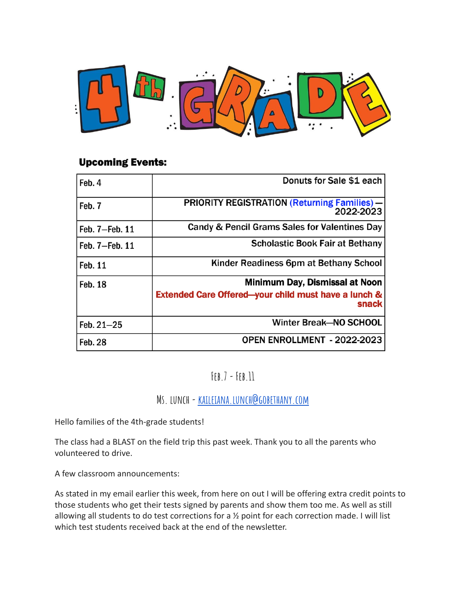

#### **Upcoming Events:**

| Feb. 4         | Donuts for Sale \$1 each                                                 |
|----------------|--------------------------------------------------------------------------|
| Feb. 7         | <b>PRIORITY REGISTRATION (Returning Families) -</b><br>2022-2023         |
| Feb. 7-Feb. 11 | Candy & Pencil Grams Sales for Valentines Day                            |
| Feb. 7-Feb. 11 | <b>Scholastic Book Fair at Bethany</b>                                   |
| <b>Feb. 11</b> | Kinder Readiness 6pm at Bethany School                                   |
| <b>Feb. 18</b> | Minimum Day, Dismissal at Noon                                           |
|                | <b>Extended Care Offered-your child must have a lunch &amp;</b><br>snack |
| $Feb. 21 - 25$ | <b>Winter Break-NO SCHOOL</b>                                            |
| <b>Feb. 28</b> | OPEN ENROLLMENT - 2022-2023                                              |

**Feb.7 -Feb.11**

**Ms. lunch-[kaileiana.lunch@gobethany.com](mailto:kaileiana.lunch@gobethany.com)**

Hello families of the 4th-grade students!

The class had a BLAST on the field trip this past week. Thank you to all the parents who volunteered to drive.

A few classroom announcements:

As stated in my email earlier this week, from here on out I will be offering extra credit points to those students who get their tests signed by parents and show them too me. As well as still allowing all students to do test corrections for a ½ point for each correction made. I will list which test students received back at the end of the newsletter.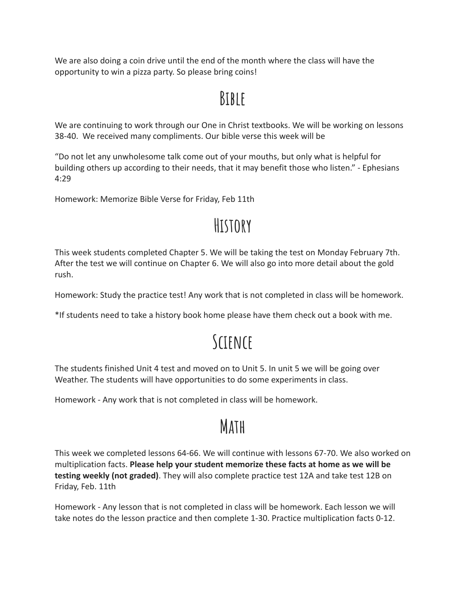We are also doing a coin drive until the end of the month where the class will have the opportunity to win a pizza party. So please bring coins!

#### **Bible**

We are continuing to work through our One in Christ textbooks. We will be working on lessons 38-40. We received many compliments. Our bible verse this week will be

"Do not let any unwholesome talk come out of your mouths, but only what is helpful for building others up according to their needs, that it may benefit those who listen." - Ephesians 4:29

Homework: Memorize Bible Verse for Friday, Feb 11th

### **History**

This week students completed Chapter 5. We will be taking the test on Monday February 7th. After the test we will continue on Chapter 6. We will also go into more detail about the gold rush.

Homework: Study the practice test! Any work that is not completed in class will be homework.

\*If students need to take a history book home please have them check out a book with me.

# **Science**

The students finished Unit 4 test and moved on to Unit 5. In unit 5 we will be going over Weather. The students will have opportunities to do some experiments in class.

Homework - Any work that is not completed in class will be homework.

## **Math**

This week we completed lessons 64-66. We will continue with lessons 67-70. We also worked on multiplication facts. **Please help your student memorize these facts at home as we will be testing weekly (not graded)**. They will also complete practice test 12A and take test 12B on Friday, Feb. 11th

Homework - Any lesson that is not completed in class will be homework. Each lesson we will take notes do the lesson practice and then complete 1-30. Practice multiplication facts 0-12.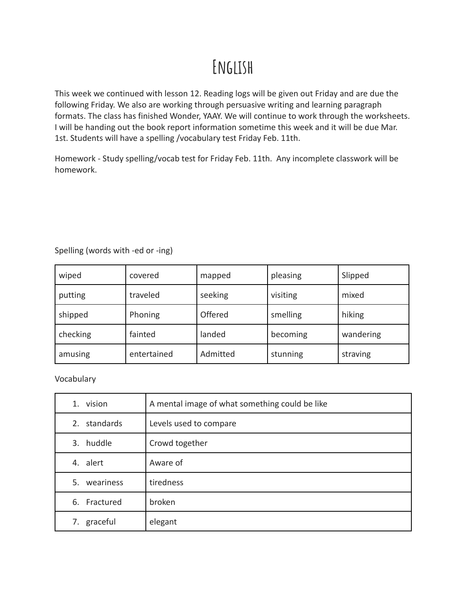## **English**

This week we continued with lesson 12. Reading logs will be given out Friday and are due the following Friday. We also are working through persuasive writing and learning paragraph formats. The class has finished Wonder, YAAY. We will continue to work through the worksheets. I will be handing out the book report information sometime this week and it will be due Mar. 1st. Students will have a spelling /vocabulary test Friday Feb. 11th.

Homework - Study spelling/vocab test for Friday Feb. 11th. Any incomplete classwork will be homework.

| wiped    | covered     | mapped   | pleasing | Slipped   |
|----------|-------------|----------|----------|-----------|
| putting  | traveled    | seeking  | visiting | mixed     |
| shipped  | Phoning     | Offered  | smelling | hiking    |
| checking | fainted     | landed   | becoming | wandering |
| amusing  | entertained | Admitted | stunning | straving  |

Spelling (words with -ed or -ing)

Vocabulary

| 1. vision    | A mental image of what something could be like |
|--------------|------------------------------------------------|
| 2. standards | Levels used to compare                         |
| 3. huddle    | Crowd together                                 |
| 4. alert     | Aware of                                       |
| 5. weariness | tiredness                                      |
| 6. Fractured | broken                                         |
| 7. graceful  | elegant                                        |